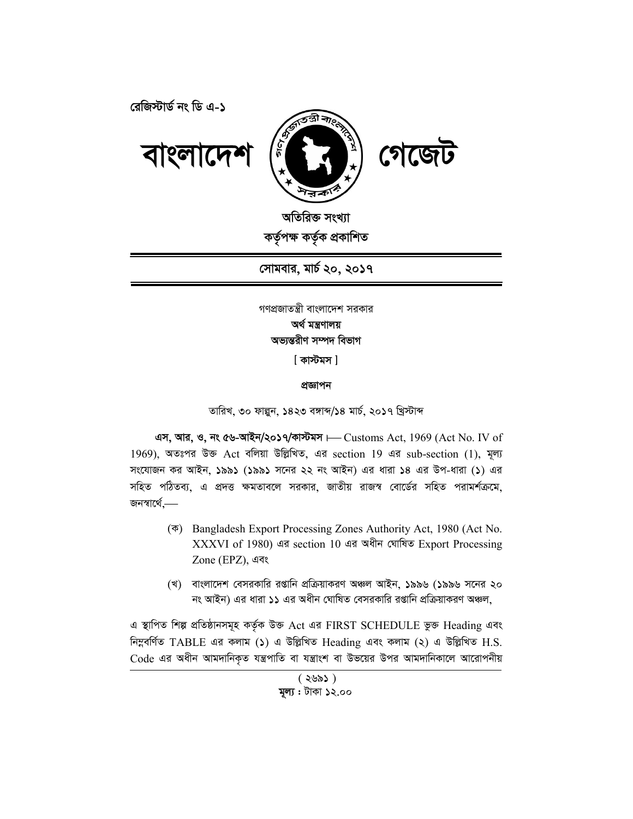রেজিস্টার্ড নং ডি এ-১



অতিরিক্ত সংখ্যা কৰ্তৃপক্ষ কৰ্তৃক প্ৰকাশিত

সোমবার, মার্চ ২০, ২০১৭

গণপ্রজাতন্ত্রী বাংলাদেশ সরকার অৰ্থ মন্ত্ৰণালয় অভ্যন্তরীণ সম্পদ বিভাগ

[ কাস্টমস ]

প্ৰজ্ঞাপন

তারিখ, ৩০ ফাল্পন, ১৪২৩ বঙ্গাব্দ/১৪ মার্চ, ২০১৭ খ্রিস্টাব্দ

এস, আর, ও, নং ৫৬-আইন/২০১৭/কাস্টমস + Customs Act, 1969 (Act No. IV of  $1969$ ), অতঃপর উক্ত Act বলিয়া উল্লিখিত, এর section  $19$  এর sub-section  $(1)$ , মূল্য সংযোজন কর আইন, ১৯৯১ (১৯৯১ সনের ২২ নং আইন) এর ধারা ১৪ এর উপ-ধারা (১) এর সহিত পঠিতব্য, এ প্রদত্ত ক্ষমতাবলে সরকার, জাতীয় রাজস্ব বোর্ডের সহিত পরামর্শক্রমে, জনস্বাৰ্থে,—

- ( $\overline{\Phi}$ ) Bangladesh Export Processing Zones Authority Act, 1980 (Act No. XXXVI of 1980) এর section 10 এর অধীন ঘোষিত Export Processing Zone (EPZ), এবং
- (খ) বাংলাদেশ বেসরকারি রপ্তানি প্রক্রিয়াকরণ অঞ্চল আইন, ১৯৯৬ (১৯৯৬ সনের ২০ নং আইন) এর ধারা ১১ এর অধীন ঘোষিত বেসরকারি রপ্তানি প্রক্রিয়াকরণ অঞ্চল,

এ স্থাপিত শিল্প প্রতিষ্ঠানসমূহ কর্তৃক উক্ত Act এর FIRST SCHEDULE ভুক্ত Heading এবং নিম্নবৰ্ণিত TABLE এর কলাম (১) এ উল্লিখিত Heading এবং কলাম (২) এ উল্লিখিত H.S. Code এর অধীন আমদানিকৃত যন্ত্রপাতি বা যন্ত্রাংশ বা উভয়ের উপর আমদানিকালে আরোপনীয়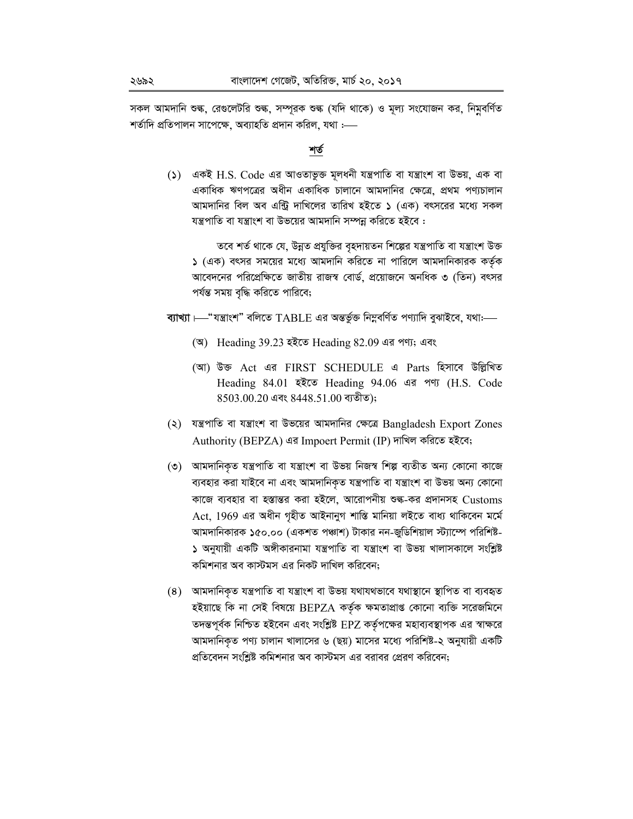সকল আমদানি শুল্ক, রেগুলেটরি শুল্ক, সম্পূরক শুল্ক (যদি থাকে) ও মূল্য সংযোজন কর, নিমুবর্ণিত শৰ্তাদি প্ৰতিপালন সাপেক্ষে, অব্যাহতি প্ৰদান করিল, যথা :—–

#### শর্ত

() একই H.S. Code এর আওতাভুক্ত মূলধনী যন্ত্রপাতি বা যন্ত্রাংশ বা উভয়, এক বা একাধিক ঋণপত্রের অধীন একাধিক চালানে আমদানির ক্ষেত্রে, প্রথম পণ্যচালান আমদানির বিল অব এন্ট্রি দাখিলের তারিখ হইতে ১ (এক) বৎসরের মধ্যে সকল যন্ত্রপাতি বা যন্ত্রাংশ বা উভয়ের আমদানি সম্পন্ন করিতে হইবে :

তবে শর্ত থাকে যে, উন্নত প্রযুক্তির বৃহদায়তন শিল্পের যন্ত্রপাতি বা যন্ত্রাংশ উক্ত ১ (এক) বৎসর সময়ের মধ্যে আমদানি করিতে না পারিলে আমদানিকারক কর্তৃক আবেদনের পরিপ্রেক্ষিতে জাতীয় রাজস্ব বোর্ড, প্রয়োজনে অনধিক ৩ (তিন) বৎসর পর্যন্ত সময় বৃদ্ধি করিতে পারিবে;

ব্যাখ্যা  $\longmapsto$ "যন্ত্ৰাংশ" বলিতে  $\operatorname{TABLE}$  এর অন্তর্ভুক্ত নিম্নবর্ণিত পণ্যাদি বুঝাইবে, যথা:—

- (অ) Heading 39.23 হইতে Heading 82.09 এর পণ্য; এবং
- (আ) উক্ত Act এর FIRST SCHEDULE এ Parts হিসাবে উল্লিখিত Heading 84.01 इंदेख Heading 94.06 এর পণ্য (H.S. Code 8503.00.20 এবং 8448.51.00 ব্যতীত);
- (২) যন্ত্রপাতি বা যন্ত্রাংশ বা উভয়ের আমদানির ক্ষেত্রে Bangladesh Export Zones Authority (BEPZA) এর Impoert Permit (IP) দাখিল করিতে হইবে;
- (৩) আমদানিকৃত যন্ত্রপাতি বা যন্ত্রাংশ বা উভয় নিজস্ব শিল্প ব্যতীত অন্য কোনো কাজে ব্যবহার করা যাইবে না এবং আমদানিকৃত যন্ত্রপাতি বা যন্ত্রাংশ বা উভয় অন্য কোনো কাজে ব্যবহার বা হস্তান্তর করা হইলে, আরোপনীয় শুল্ক-কর প্রদানসহ Customs Act, 1969 এর অধীন গৃহীত আইনানুগ শাস্তি মানিয়া লইতে বাধ্য থাকিবেন মর্মে আমদানিকারক ১৫০.০০ (একশত পঞ্চাশ) টাকার নন-জুডিশিয়াল স্ট্যাম্পে পরিশিষ্ট-১ অনুযায়ী একটি অঙ্গীকারনামা যন্ত্রপাতি বা যন্ত্রাংশ বা উভয় খালাসকালে সংশ্লিষ্ট কমিশনার অব কাস্টমস এর নিকট দাখিল করিবেন:
- (8) আমদানিকৃত যন্ত্রপাতি বা যন্ত্রাংশ বা উভয় যথাযথভাবে যথাস্থানে স্থাপিত বা ব্যবহৃত হইয়াছে কি না সেই বিষয়ে BEPZA কর্তৃক ক্ষমতাপ্রাপ্ত কোনো ব্যক্তি সরেজমিনে তদন্তপূর্বক নিশ্চিত হইবেন এবং সংশ্লিষ্ট EPZ কর্তৃপক্ষের মহাব্যবস্থাপক এর স্বাক্ষরে আমদানিকৃত পণ্য চালান খালাসের ৬ (ছয়) মাসের মধ্যে পরিশিষ্ট-২ অনুযায়ী একটি প্রতিবেদন সংশ্লিষ্ট কমিশনার অব কাস্টমস এর বরাবর প্রেরণ করিবেন;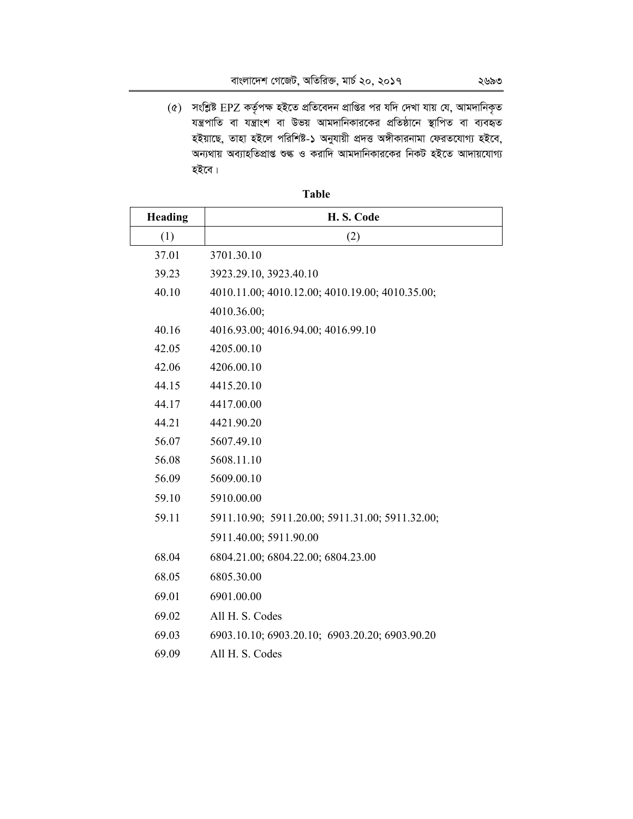$(6)$  সংশ্লিষ্ট EPZ কর্তৃপক্ষ হইতে প্রতিবেদন প্রাপ্তির পর যদি দেখা যায় যে, আমদানিকৃত যন্ত্রপাতি বা যত্রাংশ বা উভয় আমদানিকারকের প্রতিষ্ঠানে স্থাপিত বা ব্যবহৃত হইয়াছে, তাহা হইলে পরিশিষ্ট-১ অনুযায়ী প্রদত্ত অঙ্গীকারনামা ফেরতযোগ্য হইবে, অন্যথায় অব্যাহতিপ্ৰাপ্ত শুৰু ও করাদি আমদানিকারকের নিকট হইতে আদায়যোগ্য হইবে।

| Heading | H.S. Code                                       |
|---------|-------------------------------------------------|
| (1)     | (2)                                             |
| 37.01   | 3701.30.10                                      |
| 39.23   | 3923.29.10, 3923.40.10                          |
| 40.10   | 4010.11.00; 4010.12.00; 4010.19.00; 4010.35.00; |
|         | 4010.36.00;                                     |
| 40.16   | 4016.93.00; 4016.94.00; 4016.99.10              |
| 42.05   | 4205.00.10                                      |
| 42.06   | 4206.00.10                                      |
| 44.15   | 4415.20.10                                      |
| 44.17   | 4417.00.00                                      |
| 44.21   | 4421.90.20                                      |
| 56.07   | 5607.49.10                                      |
| 56.08   | 5608.11.10                                      |
| 56.09   | 5609.00.10                                      |
| 59.10   | 5910.00.00                                      |
| 59.11   | 5911.10.90; 5911.20.00; 5911.31.00; 5911.32.00; |
|         | 5911.40.00; 5911.90.00                          |
| 68.04   | 6804.21.00; 6804.22.00; 6804.23.00              |
| 68.05   | 6805.30.00                                      |
| 69.01   | 6901.00.00                                      |
| 69.02   | All H. S. Codes                                 |
| 69.03   | 6903.10.10; 6903.20.10; 6903.20.20; 6903.90.20  |
| 69.09   | All H. S. Codes                                 |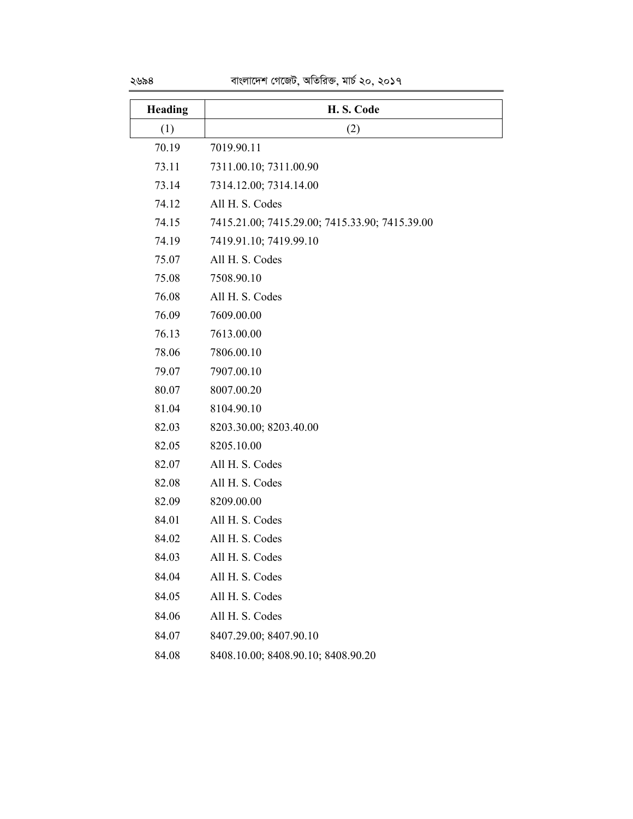| <b>Heading</b> | H.S. Code                                      |
|----------------|------------------------------------------------|
| (1)            | (2)                                            |
| 70.19          | 7019.90.11                                     |
| 73.11          | 7311.00.10; 7311.00.90                         |
| 73.14          | 7314.12.00; 7314.14.00                         |
| 74.12          | All H. S. Codes                                |
| 74.15          | 7415.21.00; 7415.29.00; 7415.33.90; 7415.39.00 |
| 74.19          | 7419.91.10; 7419.99.10                         |
| 75.07          | All H. S. Codes                                |
| 75.08          | 7508.90.10                                     |
| 76.08          | All H. S. Codes                                |
| 76.09          | 7609.00.00                                     |
| 76.13          | 7613.00.00                                     |
| 78.06          | 7806.00.10                                     |
| 79.07          | 7907.00.10                                     |
| 80.07          | 8007.00.20                                     |
| 81.04          | 8104.90.10                                     |
| 82.03          | 8203.30.00; 8203.40.00                         |
| 82.05          | 8205.10.00                                     |
| 82.07          | All H. S. Codes                                |
| 82.08          | All H. S. Codes                                |
| 82.09          | 8209.00.00                                     |
| 84.01          | All H. S. Codes                                |
| 84.02          | All H. S. Codes                                |
| 84.03          | All H. S. Codes                                |
| 84.04          | All H. S. Codes                                |
| 84.05          | All H. S. Codes                                |
| 84.06          | All H. S. Codes                                |
| 84.07          | 8407.29.00; 8407.90.10                         |
| 84.08          | 8408.10.00; 8408.90.10; 8408.90.20             |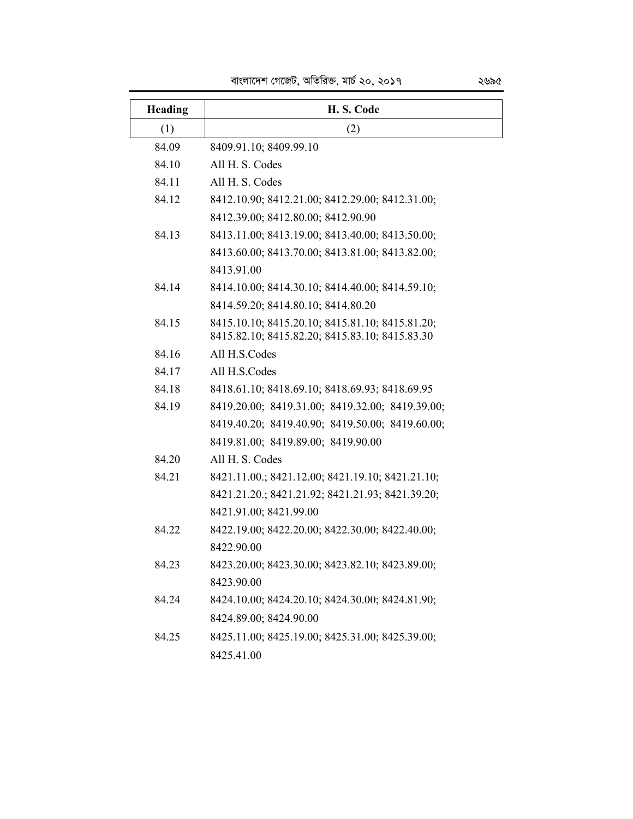|  | বাংলাদেশ গেজেট, অতিরিক্ত, মার্চ ২০, ২০১৭ |  | ২৬৯৫ |
|--|------------------------------------------|--|------|
|  |                                          |  |      |

| Heading | H.S. Code                                        |
|---------|--------------------------------------------------|
| (1)     | (2)                                              |
| 84.09   | 8409.91.10; 8409.99.10                           |
| 84.10   | All H. S. Codes                                  |
| 84.11   | All H. S. Codes                                  |
| 84.12   | 8412.10.90; 8412.21.00; 8412.29.00; 8412.31.00;  |
|         | 8412.39.00; 8412.80.00; 8412.90.90               |
| 84.13   | 8413.11.00; 8413.19.00; 8413.40.00; 8413.50.00;  |
|         | 8413.60.00; 8413.70.00; 8413.81.00; 8413.82.00;  |
|         | 8413.91.00                                       |
| 84.14   | 8414.10.00; 8414.30.10; 8414.40.00; 8414.59.10;  |
|         | 8414.59.20; 8414.80.10; 8414.80.20               |
| 84.15   | 8415.10.10; 8415.20.10; 8415.81.10; 8415.81.20;  |
|         | 8415.82.10; 8415.82.20; 8415.83.10; 8415.83.30   |
| 84.16   | All H.S.Codes                                    |
| 84.17   | All H.S.Codes                                    |
| 84.18   | 8418.61.10; 8418.69.10; 8418.69.93; 8418.69.95   |
| 84.19   | 8419.20.00; 8419.31.00; 8419.32.00; 8419.39.00;  |
|         | 8419.40.20; 8419.40.90; 8419.50.00; 8419.60.00;  |
|         | 8419.81.00; 8419.89.00; 8419.90.00               |
| 84.20   | All H. S. Codes                                  |
| 84.21   | 8421.11.00.; 8421.12.00; 8421.19.10; 8421.21.10; |
|         | 8421.21.20.; 8421.21.92; 8421.21.93; 8421.39.20; |
|         | 8421.91.00; 8421.99.00                           |
| 84.22   | 8422.19.00; 8422.20.00; 8422.30.00; 8422.40.00;  |
|         | 8422.90.00                                       |
| 84.23   | 8423.20.00; 8423.30.00; 8423.82.10; 8423.89.00;  |
|         | 8423.90.00                                       |
| 84.24   | 8424.10.00; 8424.20.10; 8424.30.00; 8424.81.90;  |
|         | 8424.89.00; 8424.90.00                           |
| 84.25   | 8425.11.00; 8425.19.00; 8425.31.00; 8425.39.00;  |
|         | 8425.41.00                                       |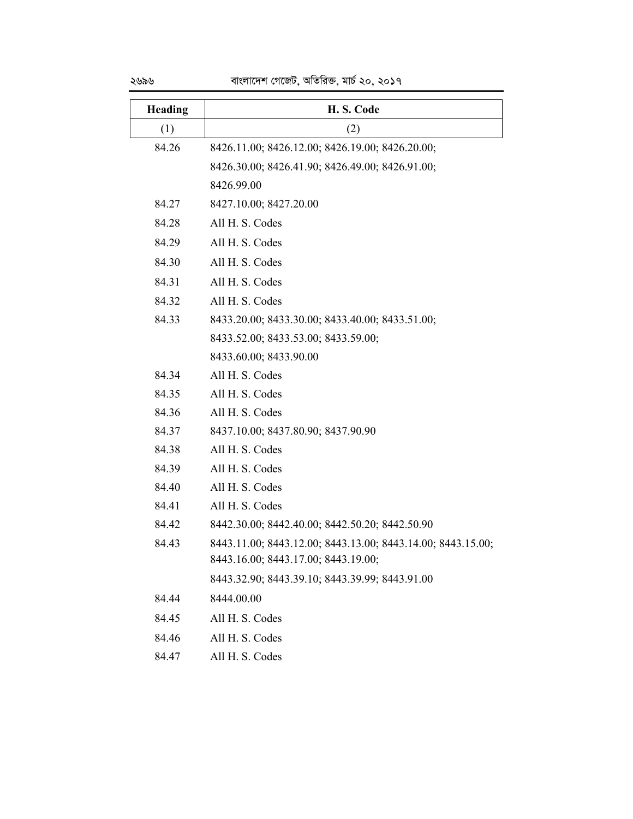| Heading | H.S. Code                                                                                          |
|---------|----------------------------------------------------------------------------------------------------|
| (1)     | (2)                                                                                                |
| 84.26   | 8426.11.00; 8426.12.00; 8426.19.00; 8426.20.00;                                                    |
|         | 8426.30.00; 8426.41.90; 8426.49.00; 8426.91.00;                                                    |
|         | 8426.99.00                                                                                         |
| 84.27   | 8427.10.00; 8427.20.00                                                                             |
| 84.28   | All H. S. Codes                                                                                    |
| 84.29   | All H. S. Codes                                                                                    |
| 84.30   | All H. S. Codes                                                                                    |
| 84.31   | All H. S. Codes                                                                                    |
| 84.32   | All H. S. Codes                                                                                    |
| 84.33   | 8433.20.00; 8433.30.00; 8433.40.00; 8433.51.00;                                                    |
|         | 8433.52.00; 8433.53.00; 8433.59.00;                                                                |
|         | 8433.60.00; 8433.90.00                                                                             |
| 84.34   | All H. S. Codes                                                                                    |
| 84.35   | All H. S. Codes                                                                                    |
| 84.36   | All H. S. Codes                                                                                    |
| 84.37   | 8437.10.00; 8437.80.90; 8437.90.90                                                                 |
| 84.38   | All H. S. Codes                                                                                    |
| 84.39   | All H. S. Codes                                                                                    |
| 84.40   | All H. S. Codes                                                                                    |
| 84.41   | All H. S. Codes                                                                                    |
| 84.42   | 8442.30.00; 8442.40.00; 8442.50.20; 8442.50.90                                                     |
| 84.43   | 8443.11.00; 8443.12.00; 8443.13.00; 8443.14.00; 8443.15.00;<br>8443.16.00; 8443.17.00; 8443.19.00; |
|         | 8443.32.90; 8443.39.10; 8443.39.99; 8443.91.00                                                     |
| 84.44   | 8444.00.00                                                                                         |
| 84.45   | All H. S. Codes                                                                                    |
| 84.46   | All H. S. Codes                                                                                    |
| 84.47   | All H. S. Codes                                                                                    |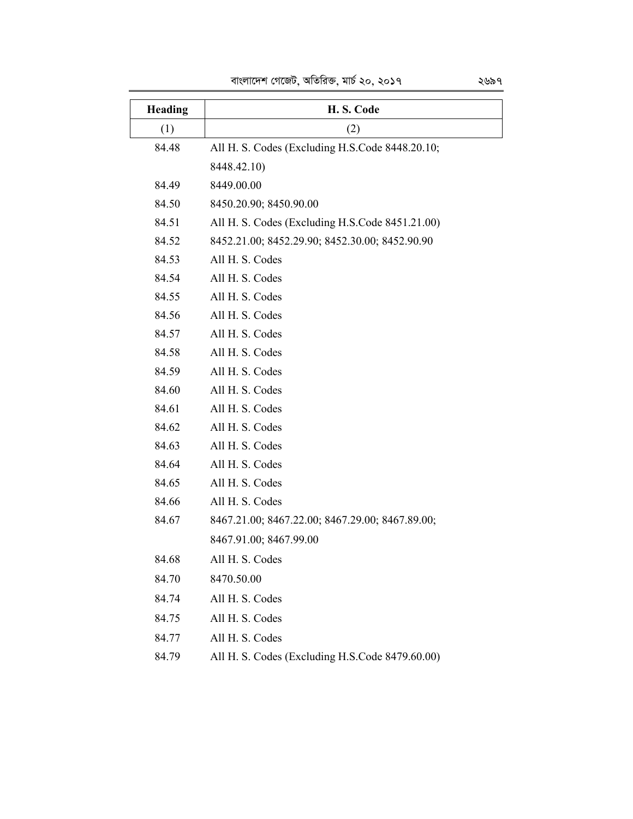| Heading | H.S. Code                                       |
|---------|-------------------------------------------------|
| (1)     | (2)                                             |
| 84.48   | All H. S. Codes (Excluding H.S.Code 8448.20.10; |
|         | 8448.42.10)                                     |
| 84.49   | 8449.00.00                                      |
| 84.50   | 8450.20.90; 8450.90.00                          |
| 84.51   | All H. S. Codes (Excluding H.S.Code 8451.21.00) |
| 84.52   | 8452.21.00; 8452.29.90; 8452.30.00; 8452.90.90  |
| 84.53   | All H. S. Codes                                 |
| 84.54   | All H. S. Codes                                 |
| 84.55   | All H. S. Codes                                 |
| 84.56   | All H. S. Codes                                 |
| 84.57   | All H. S. Codes                                 |
| 84.58   | All H. S. Codes                                 |
| 84.59   | All H. S. Codes                                 |
| 84.60   | All H. S. Codes                                 |
| 84.61   | All H. S. Codes                                 |
| 84.62   | All H. S. Codes                                 |
| 84.63   | All H. S. Codes                                 |
| 84.64   | All H. S. Codes                                 |
| 84.65   | All H. S. Codes                                 |
| 84.66   | All H. S. Codes                                 |
| 84.67   | 8467.21.00; 8467.22.00; 8467.29.00; 8467.89.00; |
|         | 8467.91.00; 8467.99.00                          |
| 84.68   | All H. S. Codes                                 |
| 84.70   | 8470.50.00                                      |
| 84.74   | All H. S. Codes                                 |
| 84.75   | All H. S. Codes                                 |
| 84.77   | All H. S. Codes                                 |
|         |                                                 |

# 84.79 All H. S. Codes (Excluding H.S.Code 8479.60.00)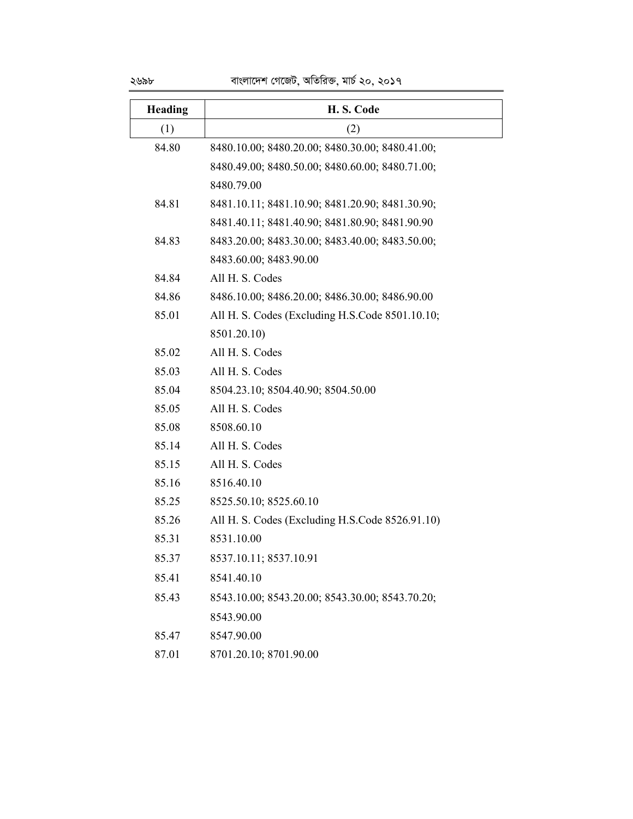| Heading | H.S. Code                                       |
|---------|-------------------------------------------------|
| (1)     | (2)                                             |
| 84.80   | 8480.10.00; 8480.20.00; 8480.30.00; 8480.41.00; |
|         | 8480.49.00; 8480.50.00; 8480.60.00; 8480.71.00; |
|         | 8480.79.00                                      |
| 84.81   | 8481.10.11; 8481.10.90; 8481.20.90; 8481.30.90; |
|         | 8481.40.11; 8481.40.90; 8481.80.90; 8481.90.90  |
| 84.83   | 8483.20.00; 8483.30.00; 8483.40.00; 8483.50.00; |
|         | 8483.60.00; 8483.90.00                          |
| 84.84   | All H. S. Codes                                 |
| 84.86   | 8486.10.00; 8486.20.00; 8486.30.00; 8486.90.00  |
| 85.01   | All H. S. Codes (Excluding H.S.Code 8501.10.10; |
|         | 8501.20.10)                                     |
| 85.02   | All H. S. Codes                                 |
| 85.03   | All H. S. Codes                                 |
| 85.04   | 8504.23.10; 8504.40.90; 8504.50.00              |
| 85.05   | All H. S. Codes                                 |
| 85.08   | 8508.60.10                                      |
| 85.14   | All H. S. Codes                                 |
| 85.15   | All H. S. Codes                                 |
| 85.16   | 8516.40.10                                      |
| 85.25   | 8525.50.10; 8525.60.10                          |
| 85.26   | All H. S. Codes (Excluding H.S.Code 8526.91.10) |
| 85.31   | 8531.10.00                                      |
| 85.37   | 8537.10.11; 8537.10.91                          |
| 85.41   | 8541.40.10                                      |
| 85.43   | 8543.10.00; 8543.20.00; 8543.30.00; 8543.70.20; |
|         | 8543.90.00                                      |
| 85.47   | 8547.90.00                                      |
|         |                                                 |

87.01 8701.20.10; 8701.90.00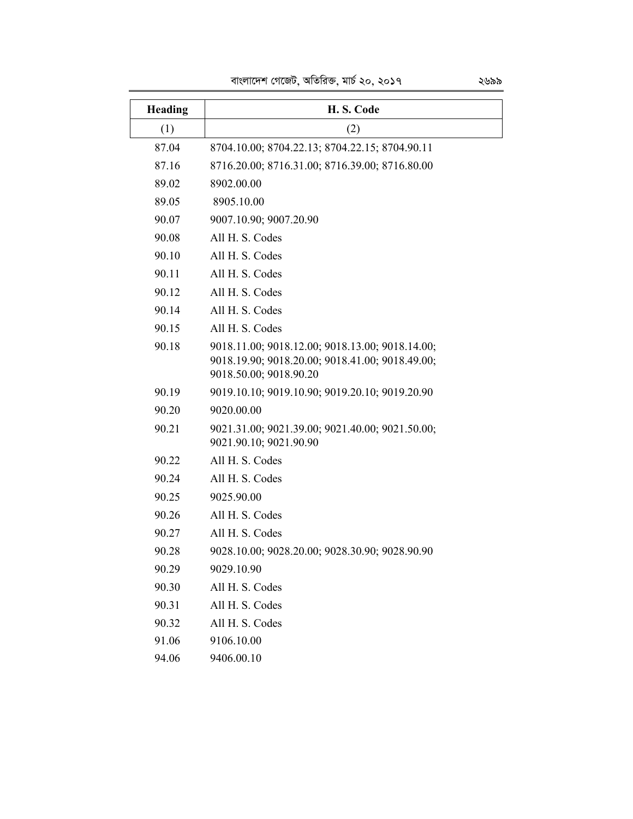| Heading | H.S. Code                                                                                                                    |
|---------|------------------------------------------------------------------------------------------------------------------------------|
| (1)     | (2)                                                                                                                          |
| 87.04   | 8704.10.00; 8704.22.13; 8704.22.15; 8704.90.11                                                                               |
| 87.16   | 8716.20.00; 8716.31.00; 8716.39.00; 8716.80.00                                                                               |
| 89.02   | 8902.00.00                                                                                                                   |
| 89.05   | 8905.10.00                                                                                                                   |
| 90.07   | 9007.10.90; 9007.20.90                                                                                                       |
| 90.08   | All H. S. Codes                                                                                                              |
| 90.10   | All H. S. Codes                                                                                                              |
| 90.11   | All H. S. Codes                                                                                                              |
| 90.12   | All H. S. Codes                                                                                                              |
| 90.14   | All H. S. Codes                                                                                                              |
| 90.15   | All H. S. Codes                                                                                                              |
| 90.18   | 9018.11.00; 9018.12.00; 9018.13.00; 9018.14.00;<br>9018.19.90; 9018.20.00; 9018.41.00; 9018.49.00;<br>9018.50.00; 9018.90.20 |
| 90.19   | 9019.10.10; 9019.10.90; 9019.20.10; 9019.20.90                                                                               |
| 90.20   | 9020.00.00                                                                                                                   |
| 90.21   | 9021.31.00; 9021.39.00; 9021.40.00; 9021.50.00;<br>9021.90.10; 9021.90.90                                                    |
| 90.22   | All H. S. Codes                                                                                                              |
| 90.24   | All H. S. Codes                                                                                                              |
| 90.25   | 9025.90.00                                                                                                                   |
| 90.26   | All H. S. Codes                                                                                                              |
| 90.27   | All H. S. Codes                                                                                                              |
| 90.28   | 9028.10.00; 9028.20.00; 9028.30.90; 9028.90.90                                                                               |
| 90.29   | 9029.10.90                                                                                                                   |
| 90.30   | All H. S. Codes                                                                                                              |
| 90.31   | All H. S. Codes                                                                                                              |
| 90.32   | All H. S. Codes                                                                                                              |
| 91.06   | 9106.10.00                                                                                                                   |
| 94.06   | 9406.00.10                                                                                                                   |

বাংলাদেশ গেজেট, অতিরিক্ত, মার্চ ২০, ২০১৭ ২৬৯৯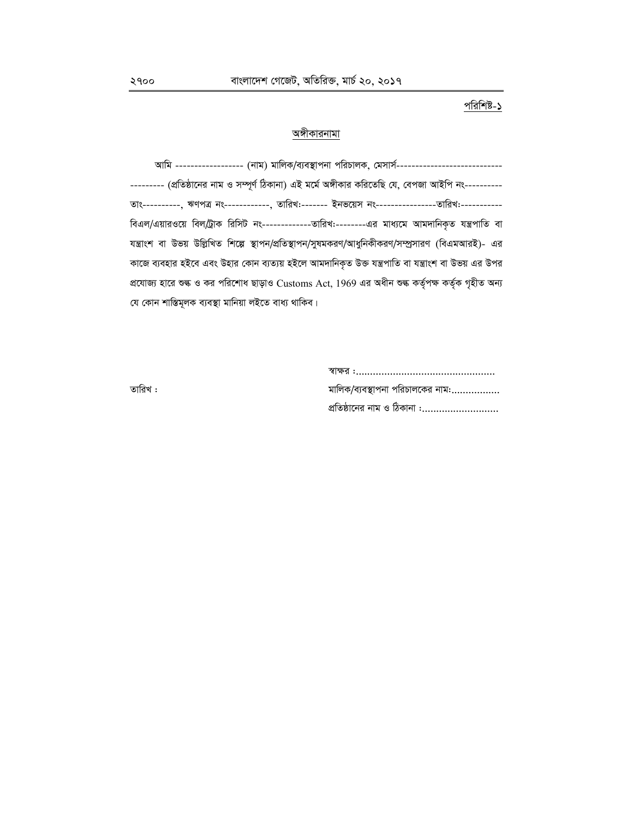# পরিশিষ্ট-১

### অঙ্গীকারনামা

আমি ----------------- (নাম) মালিক/ব্যবস্থাপনা পরিচালক, মেসার্স-------------------------------------- (প্রতিষ্ঠানের নাম ও সম্পূর্ণ ঠিকানা) এই মর্মে অঙ্গীকার করিতেছি যে, বেপজা আইপি নং----------তাং----------, ঋণপত্র নং------------, তারিখ:------- ইনভয়েস নং------------------তারিখ:-----------বিএল/এয়ারওয়ে বিল/ট্রাক রিসিট নং---------------তারিখ:--------এর মাধ্যমে আমদানিকৃত যন্ত্রপাতি বা যন্ত্রাংশ বা উভয় উল্লিখিত শিল্পে স্থাপন/প্রতিস্থাপন/সুষমকরণ/আধুনিকীকরণ/সম্প্রসারণ (বিএমআরই)- এর কাজে ব্যবহার হইবে এবং উহার কোন ব্যত্যয় হইলে আমদানিকৃত উক্ত যন্ত্রপাতি বা যন্ত্রাংশ বা উভয় এর উপর প্রযোজ্য হারে শুল্ক ও কর পরিশোধ ছাড়াও Customs Act, 1969 এর অধীন শুল্ক কর্তৃপক্ষ কর্তৃক গৃহীত অন্য যে কোন শাস্তিমূলক ব্যবস্থা মানিয়া লইতে বাধ্য থাকিব।

| তারিখ : | মালিক/ব্যবস্থাপনা পরিচালকের নাম: |
|---------|----------------------------------|
|         | প্রতিষ্ঠানের নাম ও ঠিকানা :      |